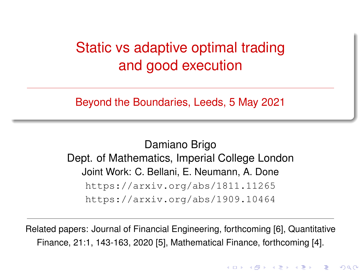# <span id="page-0-0"></span>Static vs adaptive optimal trading and good execution

Beyond the Boundaries, Leeds, 5 May 2021

Damiano Brigo Dept. of Mathematics, Imperial College London Joint Work: C. Bellani, E. Neumann, A. Done <https://arxiv.org/abs/1811.11265> <https://arxiv.org/abs/1909.10464>

Related papers: Journal of Financial Engineering, forthcoming [\[6\]](#page-30-0), Quantitative Finance, 21:1, 143-163, 2020 [\[5\]](#page-30-1), Mathematical Finance, forthcoming [\[4\]](#page-29-0).

すロト す御き すきと すきと

 $2Q$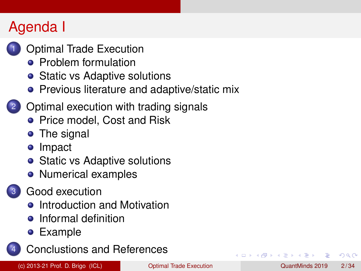# Agenda I

- **[Optimal Trade Execution](#page-2-0)** 
	- **•** [Problem formulation](#page-3-0)
	- [Static vs Adaptive solutions](#page-4-0)
	- **•** [Previous literature and adaptive/static mix](#page-5-0)

#### 2 [Optimal execution with trading signals](#page-8-0)

- [Price model, Cost and Risk](#page-8-0)
- [The signal](#page-11-0)
- [Impact](#page-12-0)
- [Static vs Adaptive solutions](#page-13-0)
- [Numerical examples](#page-16-0)

#### [Good execution](#page-20-0)

- **•** [Introduction and Motivation](#page-20-0)
- **•** [Informal definition](#page-24-0)
- [Example](#page-25-0)



 $\Omega$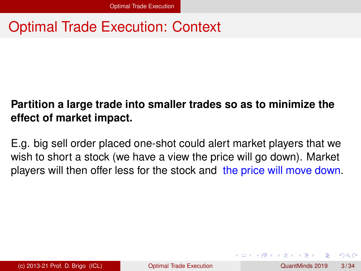## <span id="page-2-0"></span>Optimal Trade Execution: Context

#### **Partition a large trade into smaller trades so as to minimize the effect of market impact.**

E.g. big sell order placed one-shot could alert market players that we wish to short a stock (we have a view the price will go down). Market players will then offer less for the stock and the price will move down.

 $\Omega$ 

 $\mathbf{A}$   $\mathbf{B}$   $\mathbf{A}$   $\mathbf{A}$   $\mathbf{B}$   $\mathbf{A}$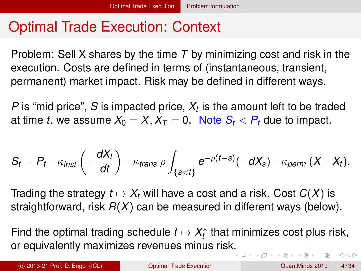## <span id="page-3-0"></span>Optimal Trade Execution: Context

Problem: Sell X shares by the time *T* by minimizing cost and risk in the execution. Costs are defined in terms of (instantaneous, transient, permanent) market impact. Risk may be defined in different ways.

*P* is "mid price", *S* is impacted price, *X<sup>t</sup>* is the amount left to be traded at time *t*, we assume  $X_0 = X$ ,  $X_T = 0$ . Note  $S_t < P_t$  due to impact.

$$
S_t = P_t - \kappa_{inst} \left( -\frac{dX_t}{dt} \right) - \kappa_{trans} \rho \int_{\{s < t\}} e^{-\rho(t-s)} (-dX_s) - \kappa_{perm} (X - X_t).
$$

Trading the strategy  $t \mapsto X_t$  will have a cost and a risk. Cost  $C(X)$  is straightforward, risk *R*(*X*) can be measured in different ways (below).

Find the optimal trading schedule  $t \mapsto X_t^*$  that minimizes cost plus risk, or equivalently maximizes revenues minus ris[k.](#page-2-0)  $\Omega$ 

(c) 2013-21 Prof. D. Brigo (ICL) [Optimal Trade Execution](#page-0-0) QuantMinds 2019 4 / 34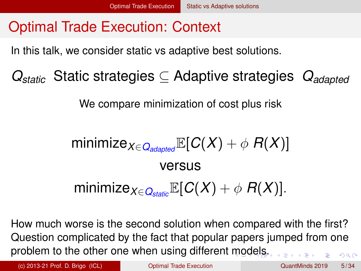# <span id="page-4-0"></span>Optimal Trade Execution: Context

In this talk, we consider static vs adaptive best solutions.

*Qstatic* Static strategies ⊆ Adaptive strategies *Qadapted*

We compare minimization of cost plus risk

minimize<sub>*X*∈*Q*<sub>adapted</sub> $\mathbb{E}[C(X) + \phi]$ *R*(*X*)]</sub> versus minimize<sub>*X∈Q*</sub> $_{\text{cyclic}}$ E[*C*(*X*) +  $\phi$  *R*(*X*)].

How much worse is the second solution when compared with the first? Question complicated by the fact that popular papers jumped from one problem to the other one when using different [m](#page-3-0)[od](#page-5-0)[e](#page-3-0)[ls.](#page-4-0)  $QQ$ 

(c) 2013-21 Prof. D. Brigo (ICL) [Optimal Trade Execution](#page-0-0) QuantMinds 2019 5 / 34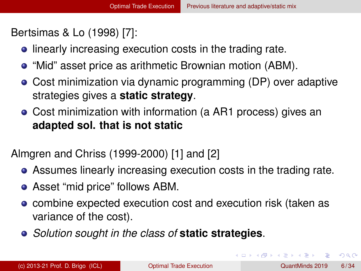<span id="page-5-0"></span>Bertsimas & Lo (1998) [\[7\]](#page-30-2):

- **•** linearly increasing execution costs in the trading rate.
- "Mid" asset price as arithmetic Brownian motion (ABM).
- Cost minimization via dynamic programming (DP) over adaptive strategies gives a **static strategy**.
- Cost minimization with information (a AR1 process) gives an **adapted sol. that is not static**

Almgren and Chriss (1999-2000) [\[1\]](#page-29-1) and [\[2\]](#page-29-2)

- Assumes linearly increasing execution costs in the trading rate.
- Asset "mid price" follows ABM.
- combine expected execution cost and execution risk (taken as variance of the cost).
- *Solution sought in the class of* **static strategies**.

в

 $\Omega$ 

イロト イ押 トイラト イラト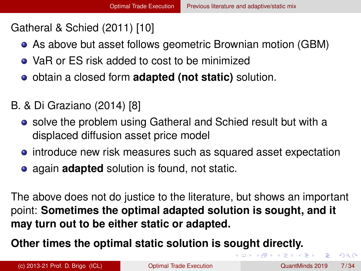#### <span id="page-6-0"></span>Gatheral & Schied (2011) [\[10\]](#page-31-0)

- As above but asset follows geometric Brownian motion (GBM)
- VaR or FS risk added to cost to be minimized
- obtain a closed form **adapted (not static)** solution.
- B. & Di Graziano (2014) [\[8\]](#page-31-1)
	- solve the problem using Gatheral and Schied result but with a displaced diffusion asset price model
	- introduce new risk measures such as squared asset expectation
	- **•** again **adapted** solution is found, not static.

The above does not do justice to the literature, but shows an important point: **Sometimes the optimal adapted solution is sought, and it may turn out to be either static or adapted.**

**Other times the optimal static solution is sought directly.**

(c) 2013-21 Prof. D. Brigo (ICL) [Optimal Trade Execution](#page-0-0) QuantMinds 2019 7 / 34

 $\Omega$ 

K ロ ⊁ K 御 ⊁ K 君 ⊁ K 君 ⊁ …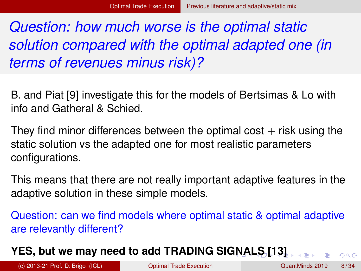<span id="page-7-0"></span>*Question: how much worse is the optimal static solution compared with the optimal adapted one (in terms of revenues minus risk)?*

B. and Piat [\[9\]](#page-31-2) investigate this for the models of Bertsimas & Lo with info and Gatheral & Schied.

They find minor differences between the optimal cost  $+$  risk using the static solution vs the adapted one for most realistic parameters configurations.

This means that there are not really important adaptive features in the adaptive solution in these simple models.

Question: can we find models where optimal static & optimal adaptive are relevantly different?

#### **YES, but we may need to add TRADING SI[GN](#page-6-0)[A](#page-8-0)[L](#page-6-0)[S](#page-7-0) [\[](#page-8-0)[13](#page-32-0)[\]](#page-5-0)**

 $QQ$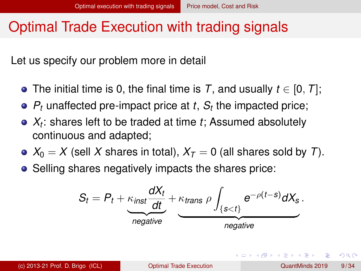## <span id="page-8-0"></span>Optimal Trade Execution with trading signals

Let us specify our problem more in detail

- The initial time is 0, the final time is *T*, and usually *t* ∈ [0, *T*];
- $P_t$  unaffected pre-impact price at  $t$ ,  $S_t$  the impacted price;
- *Xt* : shares left to be traded at time *t*; Assumed absolutely continuous and adapted;
- $X_0 = X$  (sell X shares in total),  $X_T = 0$  (all shares sold by *T*).
- Selling shares negatively impacts the shares price:

$$
S_t = P_t + \underbrace{\kappa_{inst} \frac{dX_t}{dt}}_{negative} + \underbrace{\kappa_{trans}}_{negative} \rho \int_{\{s < t\}} e^{-\rho(t-s)} dX_s.
$$

 $\Omega$ 

 $(0.123 \times 10^{-14} \text{ m}) \times 10^{-14} \text{ m} \times 10^{-14} \text{ m}$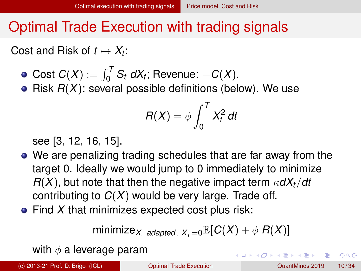## Optimal Trade Execution with trading signals

Cost and Risk of  $t \mapsto X_t$ :

- $Cost C(X) := \int_0^T S_t dX_t$ ; Revenue:  $-C(X)$ .
- $\bullet$  Risk  $R(X)$ : several possible definitions (below). We use

$$
R(X) = \phi \int_0^T X_t^2 dt
$$

see [\[3,](#page-29-3) [12,](#page-32-1) [16,](#page-33-0) [15\]](#page-33-1).

- We are penalizing trading schedules that are far away from the target 0. Ideally we would jump to 0 immediately to minimize  $R(X)$ , but note that then the negative impact term  $\kappa dX_t/dt$ contributing to *C*(*X*) would be very large. Trade off.
- Find *X* that minimizes expected cost plus risk:

minimize<sub>*X*</sub> adapted,  $X_{\tau=0}$ **E**[ $C(X) + \phi$   $R(X)$ ]

with  $\phi$  a leverage param

(c) 2013-21 Prof. D. Brigo (ICL) [Optimal Trade Execution](#page-0-0) QuantMinds 2019 10 / 34

 $\Omega$ 

 $(0.123 \times 10^{-14} \text{ m}) \times 10^{-14} \text{ m} \times 10^{-14} \text{ m}$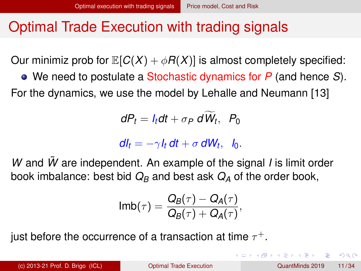## Optimal Trade Execution with trading signals

Our minimiz prob for  $\mathbb{E}[C(X) + \phi R(X)]$  is almost completely specified:

We need to postulate a Stochastic dynamics for *P* (and hence *S*). For the dynamics, we use the model by Lehalle and Neumann [\[13\]](#page-32-0)

$$
dP_t = I_t dt + \sigma_P dW_t, P_0
$$

 $dI_t = -\gamma I_t dt + \sigma dW_t$ ,  $I_0$ .

*W* and *W*˜ are independent. An example of the signal *I* is limit order book imbalance: best bid  $Q_B$  and best ask  $Q_A$  of the order book,

$$
\mathsf{Imb}(\tau)=\frac{Q_B(\tau)-Q_A(\tau)}{Q_B(\tau)+Q_A(\tau)},
$$

just before the occurrence of a transaction at time  $\tau^+.$ 

 $QQQ$ 

イロト イ押ト イヨト イヨト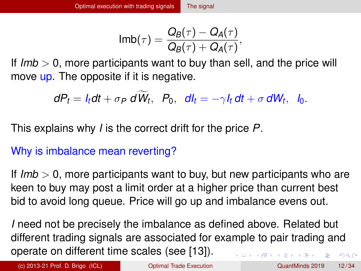$$
\mathsf{Imb}(\tau)=\frac{Q_B(\tau)-Q_A(\tau)}{Q_B(\tau)+Q_A(\tau)},
$$

<span id="page-11-0"></span>If *Imb* > 0, more participants want to buy than sell, and the price will move up. The opposite if it is negative.

$$
dP_t = I_t dt + \sigma_P d\widetilde{W}_t, P_0, dl_t = -\gamma I_t dt + \sigma dW_t, I_0.
$$

This explains why *I* is the correct drift for the price *P*.

#### Why is imbalance mean reverting?

If *Imb* > 0, more participants want to buy, but new participants who are keen to buy may post a limit order at a higher price than current best bid to avoid long queue. Price will go up and imbalance evens out.

*I* need not be precisely the imbalance as defined above. Related but different trading signals are associated for example to pair trading and operate on different time scales (see [\[13\]](#page-32-0)).  $\mathbf{A} = \mathbf{A} + \mathbf{A} + \mathbf{A} + \mathbf{A} + \mathbf{A} + \mathbf{A} + \mathbf{A} + \mathbf{A} + \mathbf{A} + \mathbf{A} + \mathbf{A} + \mathbf{A} + \mathbf{A} + \mathbf{A} + \mathbf{A} + \mathbf{A} + \mathbf{A} + \mathbf{A} + \mathbf{A} + \mathbf{A} + \mathbf{A} + \mathbf{A} + \mathbf{A} + \mathbf{A} + \mathbf{A} + \mathbf{A} + \mathbf{A} + \mathbf{A} + \mathbf{A} + \mathbf{A} + \mathbf$  $QQ$ 

(c) 2013-21 Prof. D. Brigo (ICL) [Optimal Trade Execution](#page-0-0) QuantMinds 2019 12 / 34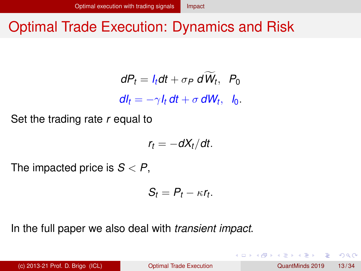# <span id="page-12-0"></span>Optimal Trade Execution: Dynamics and Risk

$$
dP_t = I_t dt + \sigma_P d\widetilde{W}_t, P_0
$$
  

$$
dI_t = -\gamma I_t dt + \sigma dW_t, I_0.
$$

Set the trading rate *r* equal to

$$
r_t = -dX_t/dt.
$$

The impacted price is *S* < *P*,

$$
S_t=P_t-\kappa r_t.
$$

In the full paper we also deal with *transient impact*.

(c) 2013-21 Prof. D. Brigo (ICL) [Optimal Trade Execution](#page-0-0) QuantMinds 2019 13 / 34

 $\Omega$ 

 $\mathcal{A} \oplus \mathcal{A} \times \mathcal{A} \oplus \mathcal{A}$ 

4 ロ ト ィ *同* ト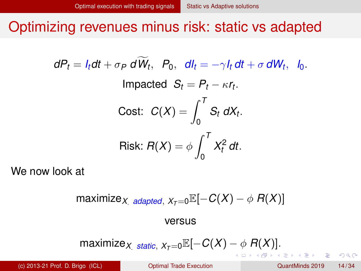<span id="page-13-0"></span>Optimizing revenues minus risk: static vs adapted

$$
dP_t = I_t dt + \sigma_P dW_t, P_0, dl_t = -\gamma I_t dt + \sigma dW_t, I_0.
$$
  
Impacted  $S_t = P_t - \kappa r_t$ .  
Cost:  $C(X) = \int_0^T S_t dX_t$ .  
  
Risk:  $R(X) = \phi \int_0^T X_t^2 dt$ .

We now look at

$$
\mathsf{maximize}_{X \text{ adapted}, X_T = 0} \mathbb{E}[-C(X) - \phi \, R(X)]
$$

#### versus

$$
\mathsf{maximize}_{X \text{ static}, X_T = 0} \mathbb{E}[-C(X) - \phi \, R(X)].
$$

Þ

 $QQ$ 

イロト イ押ト イヨト イヨト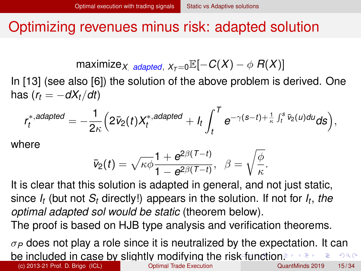## <span id="page-14-0"></span>Optimizing revenues minus risk: adapted solution

$$
\mathsf{maximize}_{X \text{ adapted}, X_T = 0} \mathbb{E}[-C(X) - \phi \, R(X)]
$$

In [\[13\]](#page-32-0) (see also [\[6\]](#page-30-0)) the solution of the above problem is derived. One has  $(r_t = -dX_t/dt)$ 

$$
r_t^{*,adapted}=-\frac{1}{2\kappa}\Big(2\bar{\nu}_2(t)X_t^{*,adapted}+I_t\int_t^T e^{-\gamma(s-t)+\frac{1}{\kappa}\int_t^s\bar{\nu}_2(u)du}ds\Big),
$$

where

$$
\bar{v}_2(t)=\sqrt{\kappa\phi}\frac{1+e^{2\beta(T-t)}}{1-e^{2\beta(T-t)}},\ \ \beta=\sqrt{\frac{\phi}{\kappa}}.
$$

It is clear that this solution is adapted in general, and not just static, since *I<sup>t</sup>* (but not *S<sup>t</sup>* directly!) appears in the solution. If not for *I<sup>t</sup>* , *the optimal adapted sol would be static* (theorem below).

The proof is based on HJB type analysis and verification theorems.

 $\sigma_P$  does not play a role since it is neutralized by the expectation. It can be included in case by slightly modifying the ri[sk](#page-13-0) [fu](#page-15-0)[n](#page-12-0)[cti](#page-14-0)[o](#page-15-0)n[.](#page-13-0)  $\Omega$ (c) 2013-21 Prof. D. Brigo (ICL) [Optimal Trade Execution](#page-0-0) QuantMinds 2019 15 / 34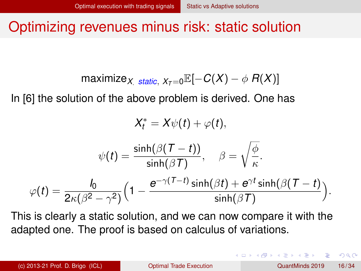#### <span id="page-15-0"></span>Optimizing revenues minus risk: static solution

$$
\mathsf{maximize}_{X \text{ static}, X_T = 0} \mathbb{E}[-C(X) - \phi \, R(X)]
$$

In [\[6\]](#page-30-0) the solution of the above problem is derived. One has

$$
X_t^* = X\psi(t) + \varphi(t),
$$

$$
\psi(t) = \frac{\sinh(\beta(T - t))}{\sinh(\beta T)}, \quad \beta = \sqrt{\frac{\phi}{\kappa}}.
$$

$$
\varphi(t) = \frac{I_0}{2\kappa(\beta^2 - \gamma^2)} \Big(1 - \frac{e^{-\gamma(T - t)}\sinh(\beta t) + e^{\gamma t}\sinh(\beta(T - t)}{\sinh(\beta T)}\Big).
$$

This is clearly a static solution, and we can now compare it with the adapted one. The proof is based on calculus of variations.

(c) 2013-21 Prof. D. Brigo (ICL) [Optimal Trade Execution](#page-0-0) QuantMinds 2019 16 / 34

 $\Omega$ 

イロト イ押 トイラト イラト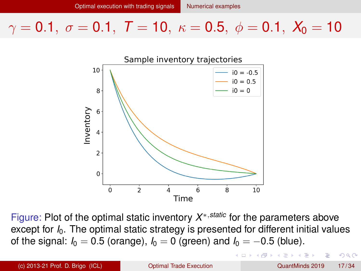<span id="page-16-0"></span>

Figure: Plot of the optimal static inventory *X* <sup>∗</sup>,*static* for the parameters above except for *I*0. The optimal static strategy is presented for different initial values of the signal:  $I_0 = 0.5$  (orange),  $I_0 = 0$  (green) and  $I_0 = -0.5$  (blue).

 $\Omega$ 

ヨメ イヨメ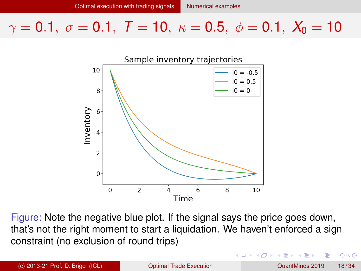<span id="page-17-0"></span>

Figure: Note the negative blue plot. If the signal says the price goes down, that's not the right moment to start a liquidation. We haven't enforced a sign constraint (no exclusion of round trips)

(c) 2013-21 Prof. D. Brigo (ICL) [Optimal Trade Execution](#page-0-0) QuantMinds 2019 18 / 34

 $\Omega$ 

化重新润滑

4 ロ ト ィ *同* ト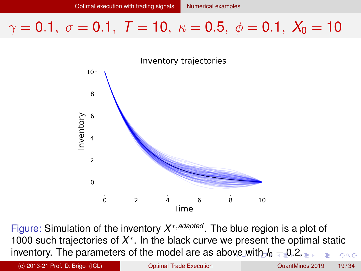<span id="page-18-0"></span>

Figure: Simulation of the inventory *X* <sup>∗</sup>,*adapted* . The blue region is a plot of 1000 such trajectories of *X* ∗ . In the black curve we present the optimal static inventory. The parameters of the model are as ab[ove](#page-17-0) [wi](#page-19-0)[t](#page-17-0)[h](#page-18-0)  $I_0 = 0.2$  $I_0 = 0.2$  $I_0 = 0.2$  $I_0 = 0.2$  $I_0 = 0.2$  $I_0 = 0.2$  $I_0 = 0.2$  $I_0 = 0.2$ .  $\Omega$ 

(c) 2013-21 Prof. D. Brigo (ICL) [Optimal Trade Execution](#page-0-0) QuantMinds 2019 19 / 34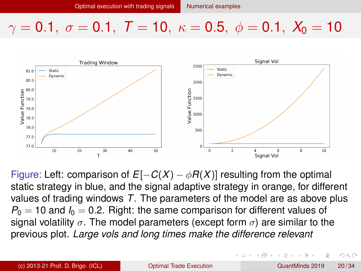<span id="page-19-0"></span>

Figure: Left: comparison of  $E[-C(X) - \phi R(X)]$  resulting from the optimal static strategy in blue, and the signal adaptive strategy in orange, for different values of trading windows *T*. The parameters of the model are as above plus  $P_0 = 10$  and  $I_0 = 0.2$ . Right: the same comparison for different values of signal volatility  $\sigma$ . The model parameters (except form  $\sigma$ ) are similar to the previous plot. *Large vols and long times make the difference relevant*

 $\Omega$ 

イロト イ押ト イヨト イヨト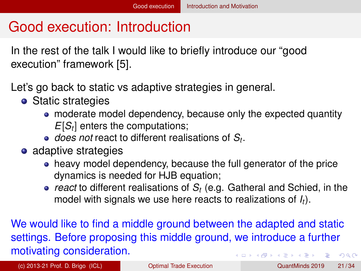# <span id="page-20-0"></span>Good execution: Introduction

In the rest of the talk I would like to briefly introduce our "good execution" framework [\[5\]](#page-30-1).

- Let's go back to static vs adaptive strategies in general.
	- Static strategies
		- moderate model dependency, because only the expected quantity *E*[*S<sup>t</sup>* ] enters the computations;
		- *does not* react to different realisations of *S<sup>t</sup>* .
	- adaptive strategies
		- heavy model dependency, because the full generator of the price dynamics is needed for HJB equation;
		- *react* to different realisations of *S<sup>t</sup>* (e.g. Gatheral and Schied, in the model with signals we use here reacts to realizations of *It*).

We would like to find a middle ground between the adapted and static settings. Before proposing this middle ground, we introduce a further motivating consideration.  $(0.125 \times 10^{-14} \text{ m}) \times 10^{-14} \text{ m}$  $QQ$ 

(c) 2013-21 Prof. D. Brigo (ICL) [Optimal Trade Execution](#page-0-0) QuantMinds 2019 21 / 34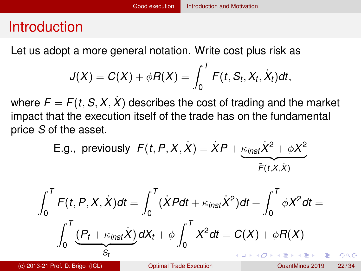## <span id="page-21-0"></span>Introduction

Let us adopt a more general notation. Write cost plus risk as

$$
J(X) = C(X) + \phi R(X) = \int_0^T F(t, S_t, X_t, \dot{X}_t) dt,
$$

where  $F = F(t, S, X, X)$  describes the cost of trading and the market impact that the execution itself of the trade has on the fundamental price *S* of the asset.

E.g., previously 
$$
F(t, P, X, \dot{X}) = \dot{X}P + \underbrace{\kappa_{inst}\dot{X}^2 + \phi X^2}_{\tilde{F}(t, X, \dot{X})}
$$

$$
\int_0^T F(t, P, X, \dot{X}) dt = \int_0^T (\dot{X}Pdt + \kappa_{inst}\dot{X}^2) dt + \int_0^T \phi X^2 dt =
$$

$$
\int_0^T \underbrace{(P_t + \kappa_{inst}\dot{X})}_{S_t} dX_t + \phi \int_0^T X^2 dt = C(X) + \phi R(X)
$$

(c) 2013-21 Prof. D. Brigo (ICL) [Optimal Trade Execution](#page-0-0) QuantMinds 2019 22 / 34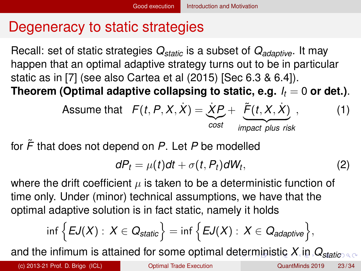# <span id="page-22-0"></span>Degeneracy to static strategies

Recall: set of static strategies *Qstatic* is a subset of *Qadaptive*. It may happen that an optimal adaptive strategy turns out to be in particular static as in [\[7\]](#page-30-2) (see also Cartea et al (2015) [Sec 6.3 & 6.4]). **Theorem (Optimal adaptive collapsing to static, e.g.**  $I_t = 0$  **or det.).** 

Assume that 
$$
F(t, P, X, X) = \underbrace{\dot{X}P}_{cost} + \underbrace{\tilde{F}(t, X, \dot{X})}_{\text{impact plus risk}}
$$
, (1)

for *F*˜ that does not depend on *P*. Let *P* be modelled

$$
dP_t = \mu(t)dt + \sigma(t, P_t)dW_t, \qquad (2)
$$

where the drift coefficient  $\mu$  is taken to be a deterministic function of time only. Under (minor) technical assumptions, we have that the optimal adaptive solution is in fact static, namely it holds

$$
\inf\Big\{EJ(X): X\in Q_{static}\Big\}=\inf\Big\{EJ(X): X\in Q_{adaptive}\Big\},
$$

and the infimum is attained for some optimal d[et](#page-21-0)[er](#page-23-0)[m](#page-21-0)[in](#page-22-0)[is](#page-23-0)[t](#page-19-0)[ic](#page-20-0)  $X_i$  $X_i$  $X_i$  i[n](#page-27-0)  $Q_{static}$  $Q_{static}$  $Q_{static}$  $Q_{static}$ 

(c) 2013-21 Prof. D. Brigo (ICL) [Optimal Trade Execution](#page-0-0) QuantMinds 2019 23 / 34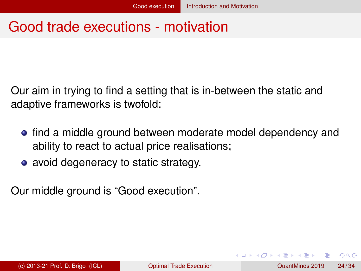## <span id="page-23-0"></span>Good trade executions - motivation

Our aim in trying to find a setting that is in-between the static and adaptive frameworks is twofold:

- **•** find a middle ground between moderate model dependency and ability to react to actual price realisations;
- avoid degeneracy to static strategy.

Our middle ground is "Good execution".

 $\Omega$ 

 $\mathcal{A} \oplus \mathcal{A} \times \mathcal{A} \oplus \mathcal{A}$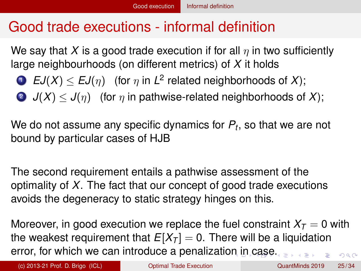# <span id="page-24-0"></span>Good trade executions - informal definition

We say that *X* is a good trade execution if for all  $\eta$  in two sufficiently large neighbourhoods (on different metrics) of *X* it holds

• 
$$
EJ(X) \leq EJ(\eta)
$$
 (for  $\eta$  in  $L^2$  related neighborhoods of  $X$ );

2  $J(X) \leq J(\eta)$  (for  $\eta$  in pathwise-related neighborhoods of X);

We do not assume any specific dynamics for *P<sup>t</sup>* , so that we are not bound by particular cases of HJB

The second requirement entails a pathwise assessment of the optimality of *X*. The fact that our concept of good trade executions avoids the degeneracy to static strategy hinges on this.

Moreover, in good execution we replace the fuel constraint  $X<sub>T</sub> = 0$  with the weakest requirement that  $E[X_T] = 0$ . There will be a liquidation error, for which we ca[n i](#page-23-0)ntroduce a penalizatio[n](#page-25-0) in [c](#page-23-0)[as](#page-24-0)[e](#page-25-0)[.](#page-23-0)  $\Omega$ 

(c) 2013-21 Prof. D. Brigo (ICL) [Optimal Trade Execution](#page-0-0) QuantMinds 2019 25 / 34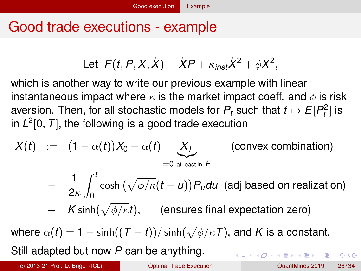# <span id="page-25-0"></span>Good trade executions - example

Let 
$$
F(t, P, X, \dot{X}) = \dot{X}P + \kappa_{inst}\dot{X}^2 + \phi X^2
$$
,

which is another way to write our previous example with linear instantaneous impact where  $\kappa$  is the market impact coeff. and  $\phi$  is risk aversion. Then, for all stochastic models for  $P_t$  such that  $t \mapsto E[P_t^2]$  is in *L* 2 [0, *T*], the following is a good trade execution

$$
X(t) := (1 - \alpha(t))X_0 + \alpha(t) \underbrace{X_T}_{=0 \text{ at least in } E}
$$
 (convex combination)  
\n
$$
- \frac{1}{2\kappa} \int_0^t \cosh(\sqrt{\phi/\kappa}(t-u)) P_u du \text{ (adj based on realization)}
$$
\n
$$
+ K \sinh(\sqrt{\phi/\kappa}t), \text{ (ensures final expectation zero)}
$$

where  $\alpha(t)=1-\sinh((\mathcal{T}-t))/\sinh(\sqrt{\phi/\kappa}\mathcal{T})$ , and  $K$  is a constant. Still adapted but now *P* can be anything. 4 (D) 3 (F) 3 (F) 3 (F)

(c) 2013-21 Prof. D. Brigo (ICL) [Optimal Trade Execution](#page-0-0) QuantMinds 2019 26 / 34

 $\Omega$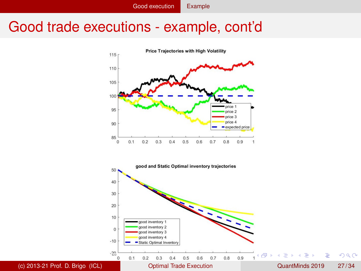#### Good trade executions - example, cont'd

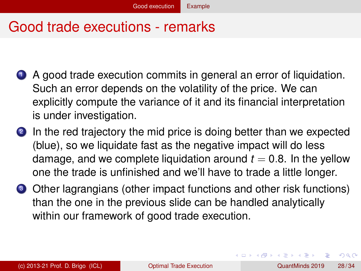## <span id="page-27-0"></span>Good trade executions - remarks

- <sup>1</sup> A good trade execution commits in general an error of liquidation. Such an error depends on the volatility of the price. We can explicitly compute the variance of it and its financial interpretation is under investigation.
- 2 In the red trajectory the mid price is doing better than we expected (blue), so we liquidate fast as the negative impact will do less damage, and we complete liquidation around  $t = 0.8$ . In the yellow one the trade is unfinished and we'll have to trade a little longer.
- <sup>3</sup> Other lagrangians (other impact functions and other risk functions) than the one in the previous slide can be handled analytically within our framework of good trade execution.

 $\Omega$ 

イロト イ押ト イヨト イヨト ニヨ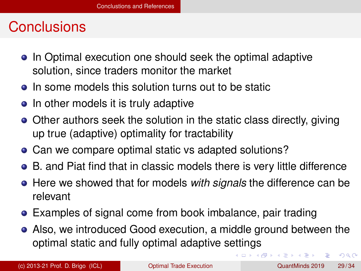## <span id="page-28-0"></span>**Conclusions**

- In Optimal execution one should seek the optimal adaptive solution, since traders monitor the market
- **o** In some models this solution turns out to be static
- In other models it is truly adaptive
- Other authors seek the solution in the static class directly, giving up true (adaptive) optimality for tractability
- Can we compare optimal static vs adapted solutions?
- B. and Piat find that in classic models there is very little difference
- **•** Here we showed that for models *with signals* the difference can be relevant
- Examples of signal come from book imbalance, pair trading
- Also, we introduced Good execution, a middle ground between the optimal static and fully optimal adaptive settings

в

 $\Omega$ 

 $(0,1)$   $(0,1)$   $(0,1)$   $(1,1)$   $(1,1)$   $(1,1)$   $(1,1)$   $(1,1)$   $(1,1)$   $(1,1)$   $(1,1)$   $(1,1)$   $(1,1)$   $(1,1)$   $(1,1)$   $(1,1)$   $(1,1)$   $(1,1)$   $(1,1)$   $(1,1)$   $(1,1)$   $(1,1)$   $(1,1)$   $(1,1)$   $(1,1)$   $(1,1)$   $(1,1)$   $(1,1$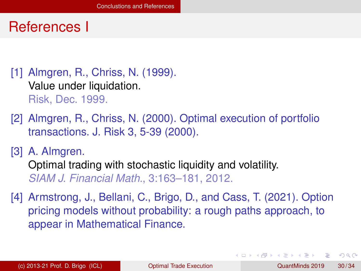#### References I

<span id="page-29-1"></span>[1] Almgren, R., Chriss, N. (1999). Value under liquidation. Risk, Dec. 1999.

<span id="page-29-2"></span>[2] Almgren, R., Chriss, N. (2000). Optimal execution of portfolio transactions. J. Risk 3, 5-39 (2000).

<span id="page-29-3"></span>[3] A. Almgren. Optimal trading with stochastic liquidity and volatility. *SIAM J. Financial Math.*, 3:163–181, 2012.

<span id="page-29-0"></span>[4] Armstrong, J., Bellani, C., Brigo, D., and Cass, T. (2021). Option pricing models without probability: a rough paths approach, to appear in Mathematical Finance.

 $\Omega$ 

イロト イ押ト イヨト イヨト ニヨ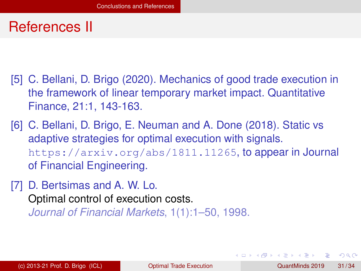### References II

- <span id="page-30-1"></span>[5] C. Bellani, D. Brigo (2020). Mechanics of good trade execution in the framework of linear temporary market impact. Quantitative Finance, 21:1, 143-163.
- <span id="page-30-0"></span>[6] C. Bellani, D. Brigo, E. Neuman and A. Done (2018). Static vs adaptive strategies for optimal execution with signals. <https://arxiv.org/abs/1811.11265>, to appear in Journal of Financial Engineering.
- <span id="page-30-2"></span>[7] D. Bertsimas and A. W. Lo. Optimal control of execution costs. *Journal of Financial Markets*, 1(1):1–50, 1998.

 $\Omega$ 

イロト イ押 トイラト イラト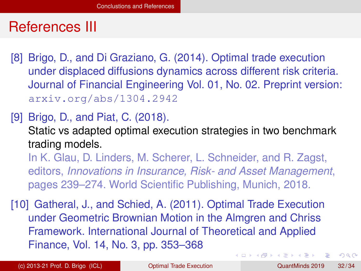### References III

<span id="page-31-1"></span>[8] Brigo, D., and Di Graziano, G. (2014). Optimal trade execution under displaced diffusions dynamics across different risk criteria. Journal of Financial Engineering Vol. 01, No. 02. Preprint version: arxiv.org/abs/1304.2942

<span id="page-31-2"></span>[9] Brigo, D., and Piat, C. (2018).

Static vs adapted optimal execution strategies in two benchmark trading models.

In K. Glau, D. Linders, M. Scherer, L. Schneider, and R. Zagst, editors, *Innovations in Insurance, Risk- and Asset Management*, pages 239–274. World Scientific Publishing, Munich, 2018.

<span id="page-31-0"></span>[10] Gatheral, J., and Schied, A. (2011). Optimal Trade Execution under Geometric Brownian Motion in the Almgren and Chriss Framework. International Journal of Theoretical and Applied Finance, Vol. 14, No. 3, pp. 353–368  $(0,1)$   $(0,1)$   $(0,1)$   $(1,1)$   $(1,1)$   $(1,1)$   $(1,1)$   $(1,1)$   $(1,1)$   $(1,1)$   $(1,1)$   $(1,1)$   $(1,1)$   $(1,1)$   $(1,1)$   $(1,1)$   $(1,1)$   $(1,1)$   $(1,1)$   $(1,1)$   $(1,1)$   $(1,1)$   $(1,1)$   $(1,1)$   $(1,1)$   $(1,1)$   $(1,1)$   $(1,1$ 

(c) 2013-21 Prof. D. Brigo (ICL) [Optimal Trade Execution](#page-0-0) QuantMinds 2019 32 / 34

 $\Omega$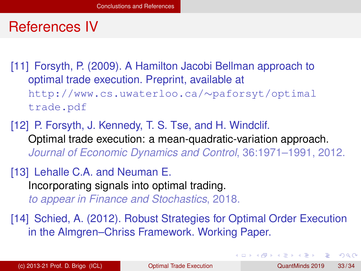#### References IV

[11] Forsyth, P. (2009). A Hamilton Jacobi Bellman approach to optimal trade execution. Preprint, available at http://www.cs.uwaterloo.ca/∼paforsyt/optimal trade.pdf

<span id="page-32-1"></span>[12] P. Forsyth, J. Kennedy, T. S. Tse, and H. Windclif. Optimal trade execution: a mean-quadratic-variation approach. *Journal of Economic Dynamics and Control*, 36:1971–1991, 2012.

<span id="page-32-0"></span>[13] Lehalle C.A. and Neuman E. Incorporating signals into optimal trading. *to appear in Finance and Stochastics*, 2018.

[14] Schied, A. (2012). Robust Strategies for Optimal Order Execution in the Almgren–Chriss Framework. Working Paper.

 $\Omega$ 

 $(0.125 \times 10^{-14} \text{ m}) \times 10^{-14} \text{ m}$